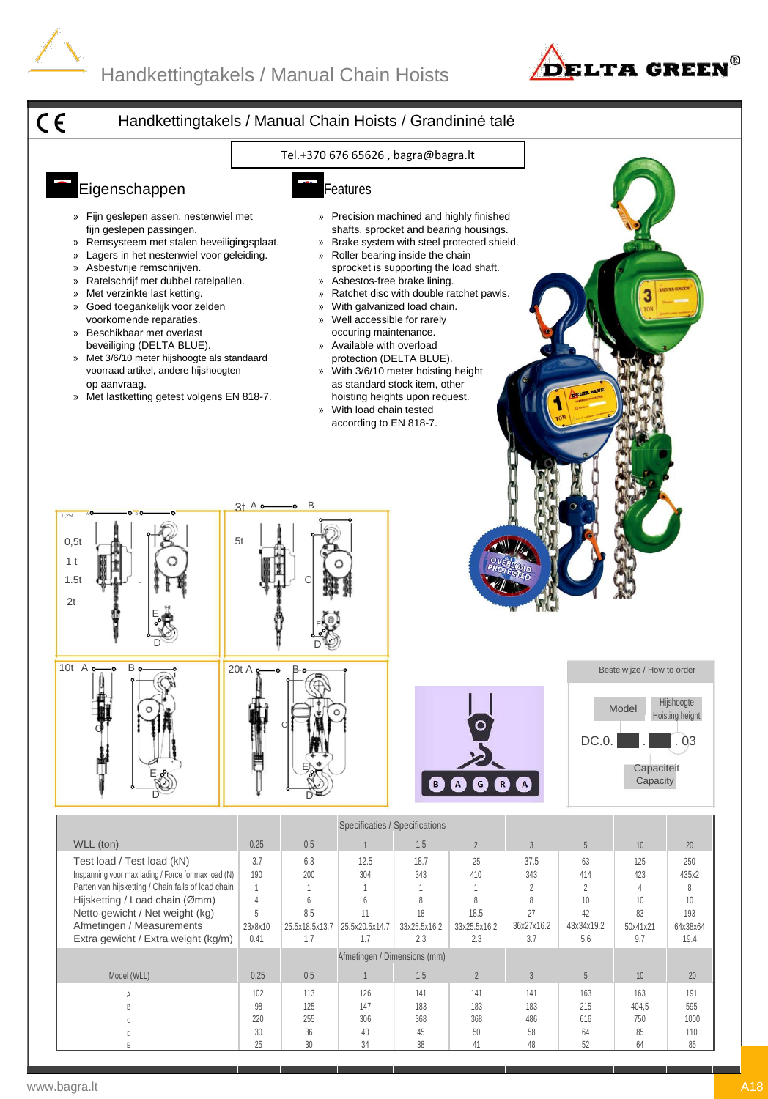